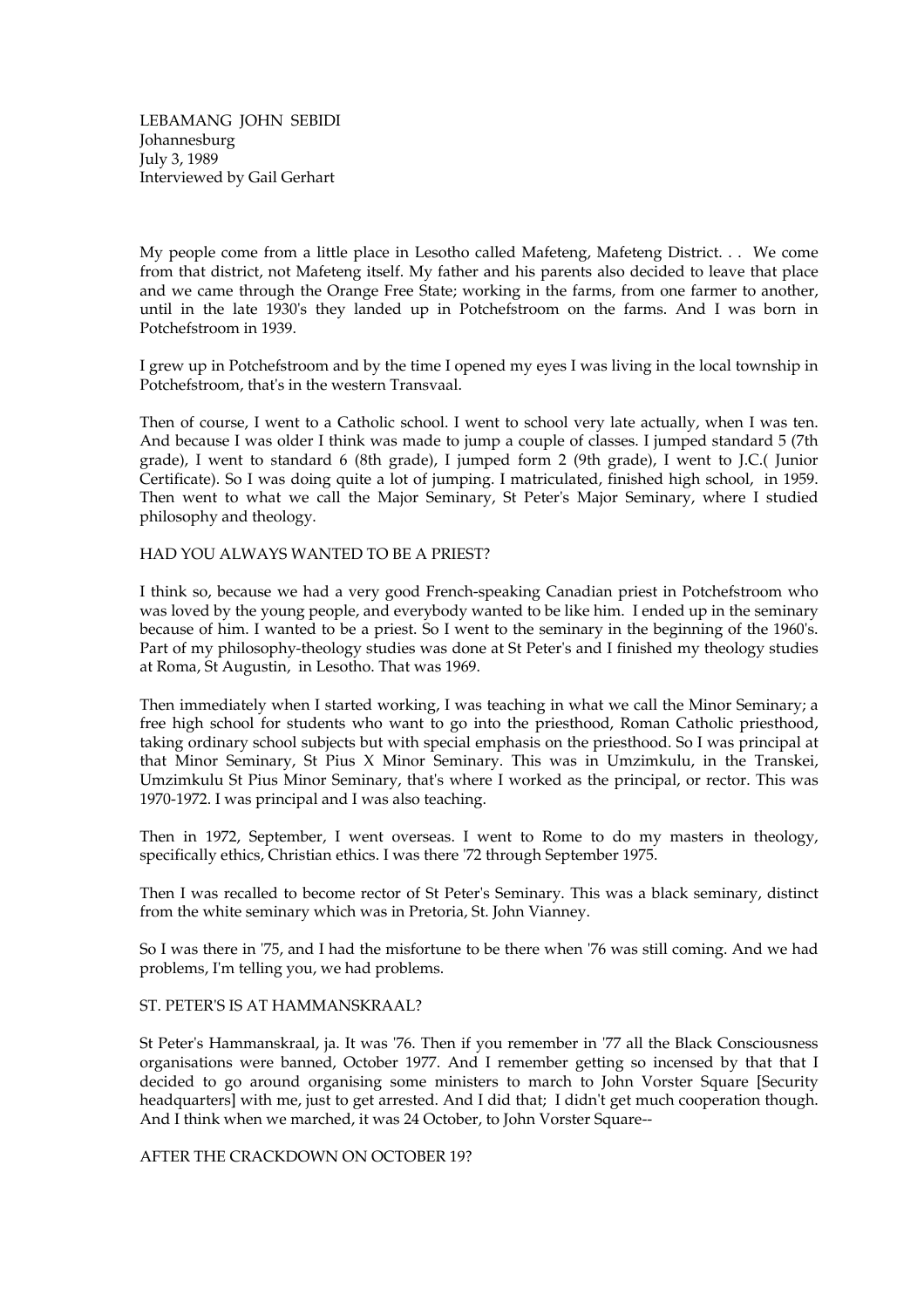LEBAMANG JOHN SEBIDI Johannesburg July 3, 1989 Interviewed by Gail Gerhart

My people come from a little place in Lesotho called Mafeteng, Mafeteng District. . . We come from that district, not Mafeteng itself. My father and his parents also decided to leave that place and we came through the Orange Free State; working in the farms, from one farmer to another, until in the late 1930's they landed up in Potchefstroom on the farms. And I was born in Potchefstroom in 1939.

I grew up in Potchefstroom and by the time I opened my eyes I was living in the local township in Potchefstroom, that's in the western Transvaal.

Then of course, I went to a Catholic school. I went to school very late actually, when I was ten. And because I was older I think was made to jump a couple of classes. I jumped standard 5 (7th grade), I went to standard 6 (8th grade), I jumped form 2 (9th grade), I went to J.C.( Junior Certificate). So I was doing quite a lot of jumping. I matriculated, finished high school, in 1959. Then went to what we call the Major Seminary, St Peter's Major Seminary, where I studied philosophy and theology.

## HAD YOU ALWAYS WANTED TO BE A PRIEST?

I think so, because we had a very good French-speaking Canadian priest in Potchefstroom who was loved by the young people, and everybody wanted to be like him. I ended up in the seminary because of him. I wanted to be a priest. So I went to the seminary in the beginning of the 1960's. Part of my philosophy-theology studies was done at St Peter's and I finished my theology studies at Roma, St Augustin, in Lesotho. That was 1969.

Then immediately when I started working, I was teaching in what we call the Minor Seminary; a free high school for students who want to go into the priesthood, Roman Catholic priesthood, taking ordinary school subjects but with special emphasis on the priesthood. So I was principal at that Minor Seminary, St Pius X Minor Seminary. This was in Umzimkulu, in the Transkei, Umzimkulu St Pius Minor Seminary, that's where I worked as the principal, or rector. This was 1970-1972. I was principal and I was also teaching.

Then in 1972, September, I went overseas. I went to Rome to do my masters in theology, specifically ethics, Christian ethics. I was there '72 through September 1975.

Then I was recalled to become rector of St Peter's Seminary. This was a black seminary, distinct from the white seminary which was in Pretoria, St. John Vianney.

So I was there in '75, and I had the misfortune to be there when '76 was still coming. And we had problems, I'm telling you, we had problems.

## ST. PETER'S IS AT HAMMANSKRAAL?

St Peter's Hammanskraal, ja. It was '76. Then if you remember in '77 all the Black Consciousness organisations were banned, October 1977. And I remember getting so incensed by that that I decided to go around organising some ministers to march to John Vorster Square [Security headquarters] with me, just to get arrested. And I did that; I didn't get much cooperation though. And I think when we marched, it was 24 October, to John Vorster Square--

AFTER THE CRACKDOWN ON OCTOBER 19?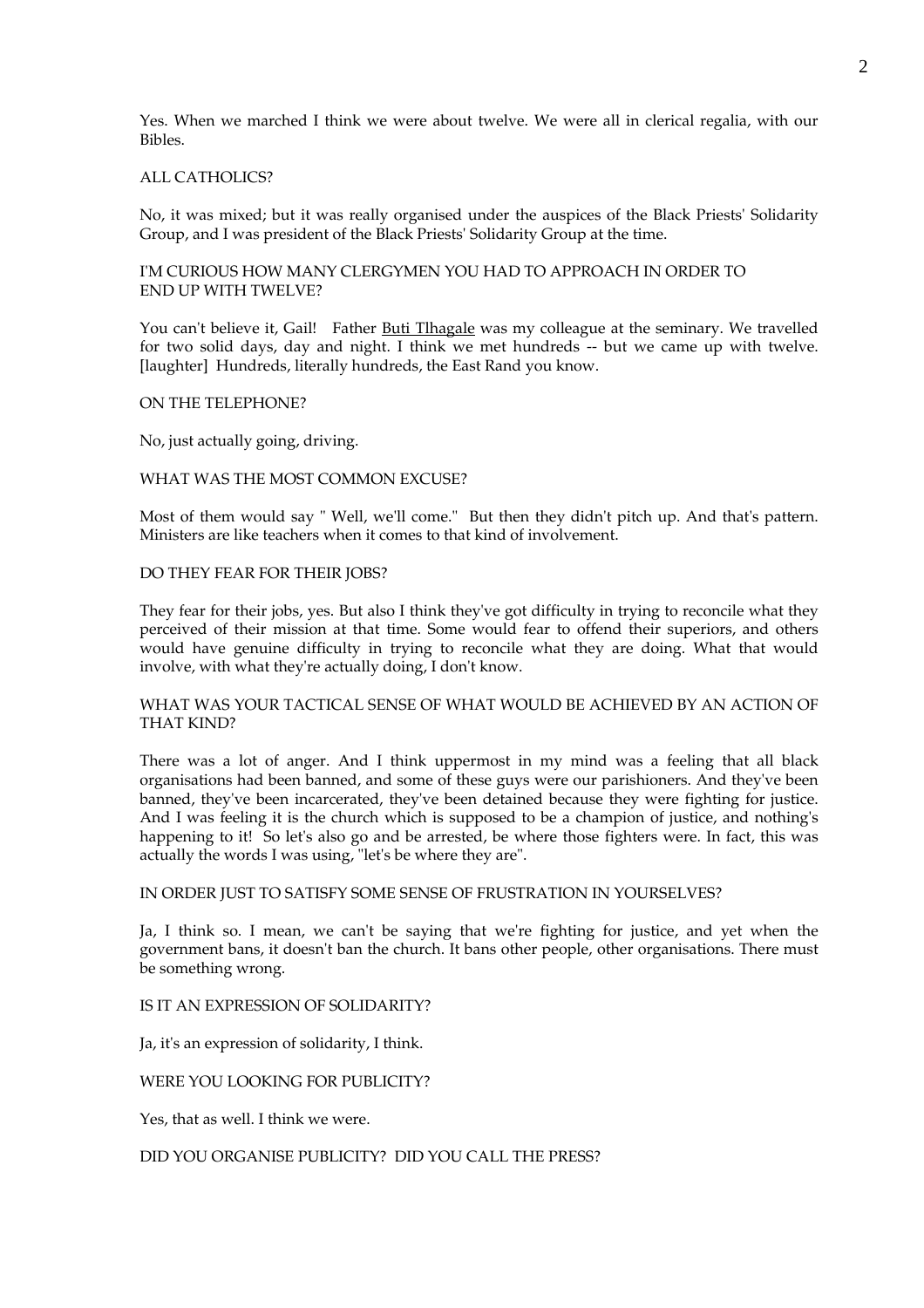Yes. When we marched I think we were about twelve. We were all in clerical regalia, with our Bibles.

## ALL CATHOLICS?

No, it was mixed; but it was really organised under the auspices of the Black Priests' Solidarity Group, and I was president of the Black Priests' Solidarity Group at the time.

I'M CURIOUS HOW MANY CLERGYMEN YOU HAD TO APPROACH IN ORDER TO END UP WITH TWELVE?

You can't believe it, Gail! Father Buti Tlhagale was my colleague at the seminary. We travelled for two solid days, day and night. I think we met hundreds -- but we came up with twelve. [laughter] Hundreds, literally hundreds, the East Rand you know.

#### ON THE TELEPHONE?

No, just actually going, driving.

### WHAT WAS THE MOST COMMON EXCUSE?

Most of them would say " Well, we'll come." But then they didn't pitch up. And that's pattern. Ministers are like teachers when it comes to that kind of involvement.

### DO THEY FEAR FOR THEIR JOBS?

They fear for their jobs, yes. But also I think they've got difficulty in trying to reconcile what they perceived of their mission at that time. Some would fear to offend their superiors, and others would have genuine difficulty in trying to reconcile what they are doing. What that would involve, with what they're actually doing, I don't know.

## WHAT WAS YOUR TACTICAL SENSE OF WHAT WOULD BE ACHIEVED BY AN ACTION OF THAT KIND?

There was a lot of anger. And I think uppermost in my mind was a feeling that all black organisations had been banned, and some of these guys were our parishioners. And they've been banned, they've been incarcerated, they've been detained because they were fighting for justice. And I was feeling it is the church which is supposed to be a champion of justice, and nothing's happening to it! So let's also go and be arrested, be where those fighters were. In fact, this was actually the words I was using, "let's be where they are".

#### IN ORDER JUST TO SATISFY SOME SENSE OF FRUSTRATION IN YOURSELVES?

Ja, I think so. I mean, we can't be saying that we're fighting for justice, and yet when the government bans, it doesn't ban the church. It bans other people, other organisations. There must be something wrong.

## IS IT AN EXPRESSION OF SOLIDARITY?

Ja, it's an expression of solidarity, I think.

WERE YOU LOOKING FOR PUBLICITY?

Yes, that as well. I think we were.

DID YOU ORGANISE PUBLICITY? DID YOU CALL THE PRESS?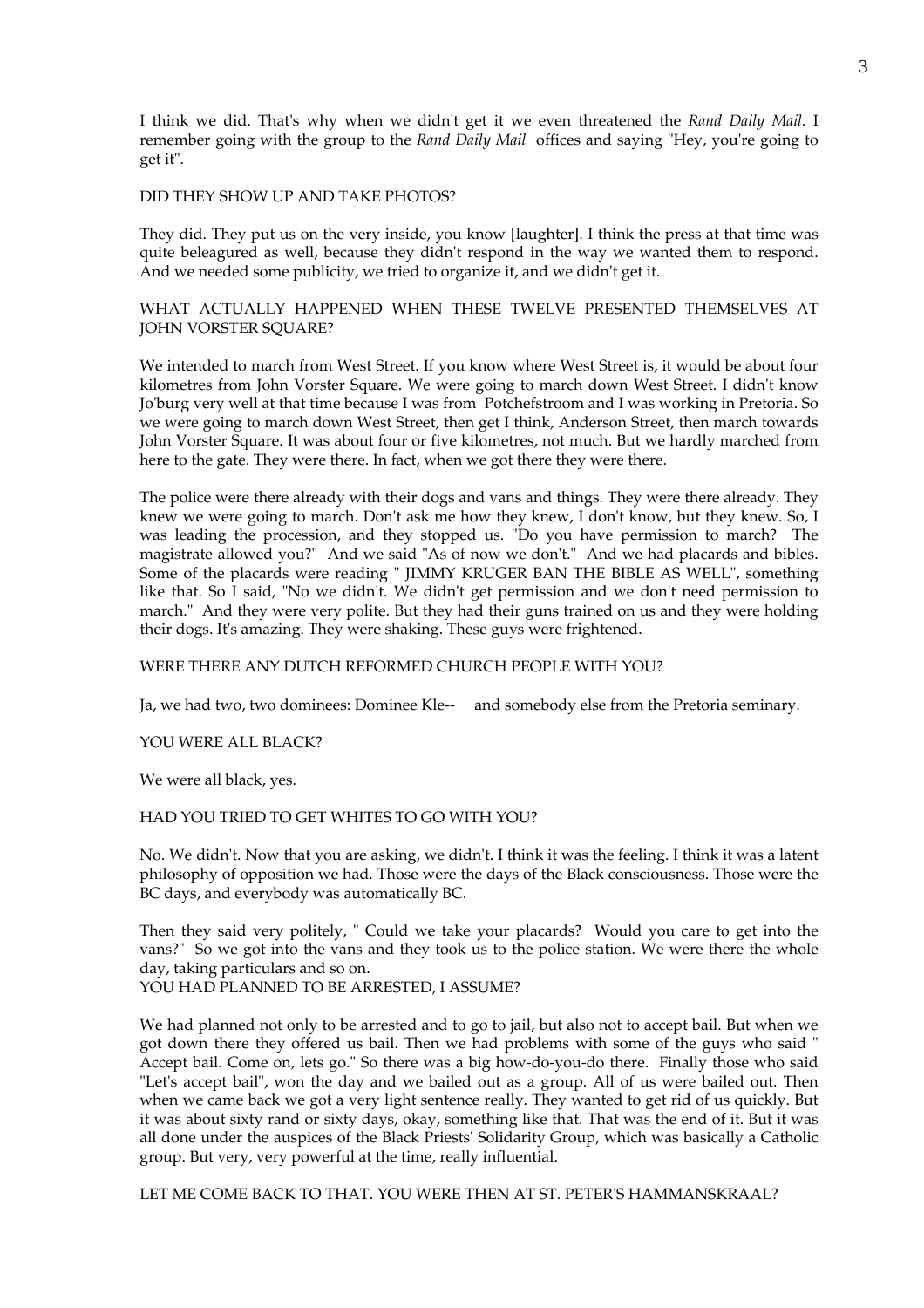I think we did. That's why when we didn't get it we even threatened the *Rand Daily Mail.* I remember going with the group to the *Rand Daily Mail* offices and saying "Hey, you're going to get it".

#### DID THEY SHOW UP AND TAKE PHOTOS?

They did. They put us on the very inside, you know [laughter]. I think the press at that time was quite beleagured as well, because they didn't respond in the way we wanted them to respond. And we needed some publicity, we tried to organize it, and we didn't get it.

# WHAT ACTUALLY HAPPENED WHEN THESE TWELVE PRESENTED THEMSELVES AT JOHN VORSTER SQUARE?

We intended to march from West Street. If you know where West Street is, it would be about four kilometres from John Vorster Square. We were going to march down West Street. I didn't know Jo'burg very well at that time because I was from Potchefstroom and I was working in Pretoria. So we were going to march down West Street, then get I think, Anderson Street, then march towards John Vorster Square. It was about four or five kilometres, not much. But we hardly marched from here to the gate. They were there. In fact, when we got there they were there.

The police were there already with their dogs and vans and things. They were there already. They knew we were going to march. Don't ask me how they knew, I don't know, but they knew. So, I was leading the procession, and they stopped us. "Do you have permission to march? The magistrate allowed you?" And we said "As of now we don't." And we had placards and bibles. Some of the placards were reading " JIMMY KRUGER BAN THE BIBLE AS WELL", something like that. So I said, "No we didn't. We didn't get permission and we don't need permission to march." And they were very polite. But they had their guns trained on us and they were holding their dogs. It's amazing. They were shaking. These guys were frightened.

# WERE THERE ANY DUTCH REFORMED CHURCH PEOPLE WITH YOU?

Ja, we had two, two dominees: Dominee Kle-- and somebody else from the Pretoria seminary.

## YOU WERE ALL BLACK?

We were all black, yes.

### HAD YOU TRIED TO GET WHITES TO GO WITH YOU?

No. We didn't. Now that you are asking, we didn't. I think it was the feeling. I think it was a latent philosophy of opposition we had. Those were the days of the Black consciousness. Those were the BC days, and everybody was automatically BC.

Then they said very politely, " Could we take your placards? Would you care to get into the vans?" So we got into the vans and they took us to the police station. We were there the whole day, taking particulars and so on. YOU HAD PLANNED TO BE ARRESTED, I ASSUME?

We had planned not only to be arrested and to go to jail, but also not to accept bail. But when we got down there they offered us bail. Then we had problems with some of the guys who said " Accept bail. Come on, lets go." So there was a big how-do-you-do there. Finally those who said "Let's accept bail", won the day and we bailed out as a group. All of us were bailed out. Then when we came back we got a very light sentence really. They wanted to get rid of us quickly. But it was about sixty rand or sixty days, okay, something like that. That was the end of it. But it was all done under the auspices of the Black Priests' Solidarity Group, which was basically a Catholic group. But very, very powerful at the time, really influential.

LET ME COME BACK TO THAT. YOU WERE THEN AT ST. PETER'S HAMMANSKRAAL?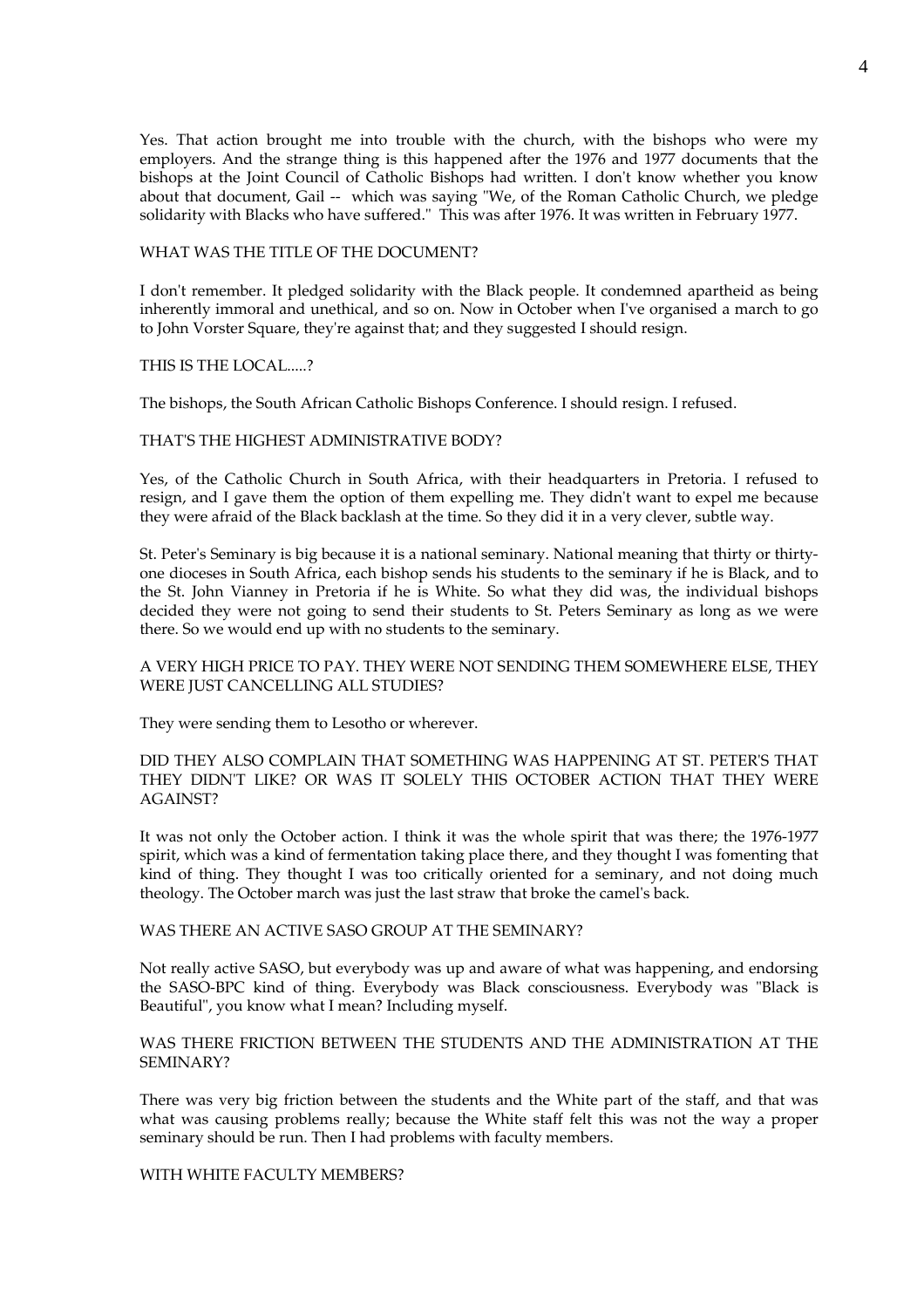Yes. That action brought me into trouble with the church, with the bishops who were my employers. And the strange thing is this happened after the 1976 and 1977 documents that the bishops at the Joint Council of Catholic Bishops had written. I don't know whether you know about that document, Gail -- which was saying "We, of the Roman Catholic Church, we pledge solidarity with Blacks who have suffered." This was after 1976. It was written in February 1977.

### WHAT WAS THE TITLE OF THE DOCUMENT?

I don't remember. It pledged solidarity with the Black people. It condemned apartheid as being inherently immoral and unethical, and so on. Now in October when I've organised a march to go to John Vorster Square, they're against that; and they suggested I should resign.

#### THIS IS THE LOCAL.....?

The bishops, the South African Catholic Bishops Conference. I should resign. I refused.

### THAT'S THE HIGHEST ADMINISTRATIVE BODY?

Yes, of the Catholic Church in South Africa, with their headquarters in Pretoria. I refused to resign, and I gave them the option of them expelling me. They didn't want to expel me because they were afraid of the Black backlash at the time. So they did it in a very clever, subtle way.

St. Peter's Seminary is big because it is a national seminary. National meaning that thirty or thirtyone dioceses in South Africa, each bishop sends his students to the seminary if he is Black, and to the St. John Vianney in Pretoria if he is White. So what they did was, the individual bishops decided they were not going to send their students to St. Peters Seminary as long as we were there. So we would end up with no students to the seminary.

## A VERY HIGH PRICE TO PAY. THEY WERE NOT SENDING THEM SOMEWHERE ELSE, THEY WERE JUST CANCELLING ALL STUDIES?

They were sending them to Lesotho or wherever.

DID THEY ALSO COMPLAIN THAT SOMETHING WAS HAPPENING AT ST. PETER'S THAT THEY DIDN'T LIKE? OR WAS IT SOLELY THIS OCTOBER ACTION THAT THEY WERE AGAINST?

It was not only the October action. I think it was the whole spirit that was there; the 1976-1977 spirit, which was a kind of fermentation taking place there, and they thought I was fomenting that kind of thing. They thought I was too critically oriented for a seminary, and not doing much theology. The October march was just the last straw that broke the camel's back.

#### WAS THERE AN ACTIVE SASO GROUP AT THE SEMINARY?

Not really active SASO, but everybody was up and aware of what was happening, and endorsing the SASO-BPC kind of thing. Everybody was Black consciousness. Everybody was "Black is Beautiful", you know what I mean? Including myself.

# WAS THERE FRICTION BETWEEN THE STUDENTS AND THE ADMINISTRATION AT THE SEMINARY?

There was very big friction between the students and the White part of the staff, and that was what was causing problems really; because the White staff felt this was not the way a proper seminary should be run. Then I had problems with faculty members.

## WITH WHITE FACULTY MEMBERS?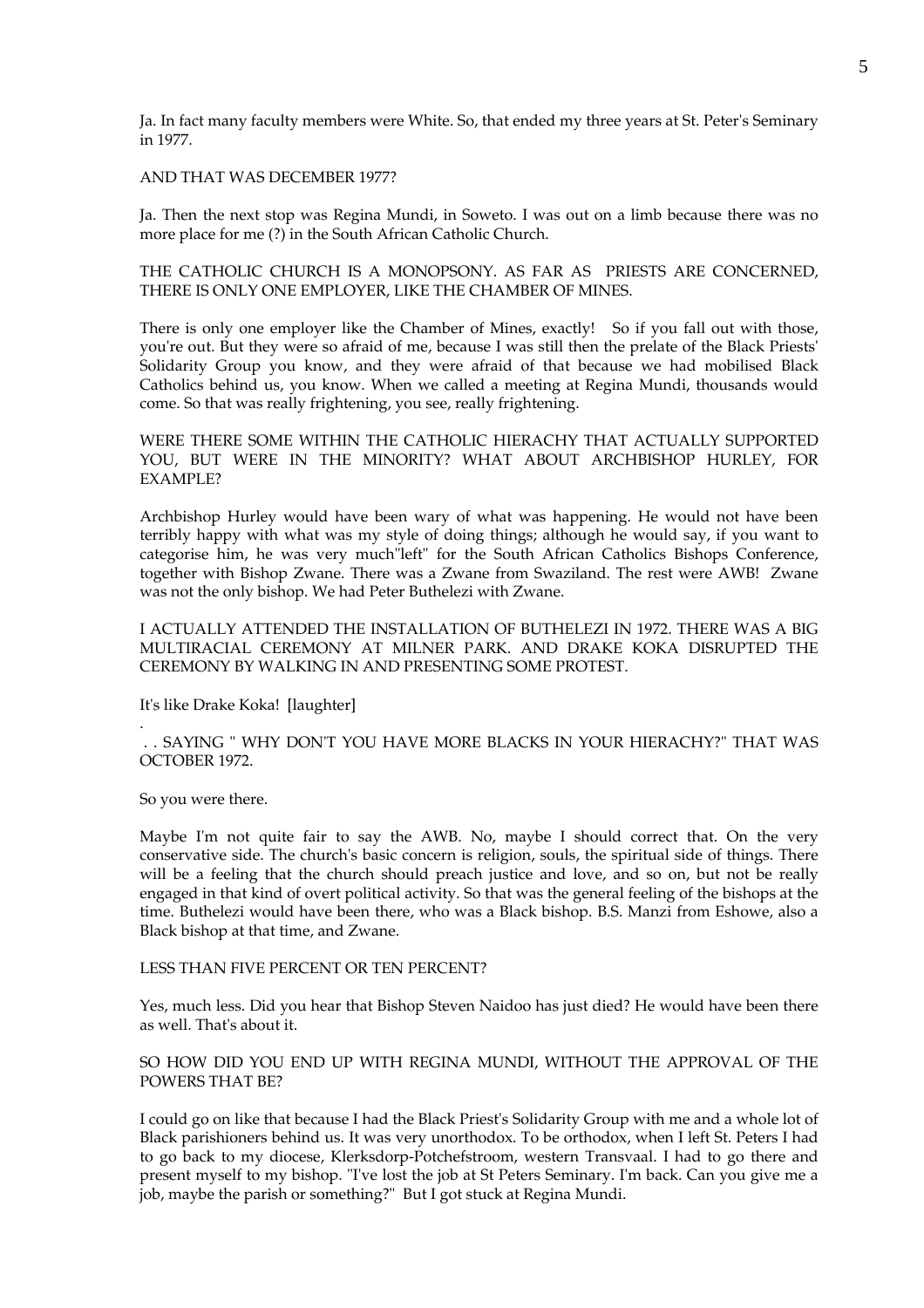Ja. In fact many faculty members were White. So, that ended my three years at St. Peter's Seminary in 1977.

## AND THAT WAS DECEMBER 1977?

Ja. Then the next stop was Regina Mundi, in Soweto. I was out on a limb because there was no more place for me (?) in the South African Catholic Church.

## THE CATHOLIC CHURCH IS A MONOPSONY. AS FAR AS PRIESTS ARE CONCERNED, THERE IS ONLY ONE EMPLOYER, LIKE THE CHAMBER OF MINES.

There is only one employer like the Chamber of Mines, exactly! So if you fall out with those, you're out. But they were so afraid of me, because I was still then the prelate of the Black Priests' Solidarity Group you know, and they were afraid of that because we had mobilised Black Catholics behind us, you know. When we called a meeting at Regina Mundi, thousands would come. So that was really frightening, you see, really frightening.

# WERE THERE SOME WITHIN THE CATHOLIC HIERACHY THAT ACTUALLY SUPPORTED YOU, BUT WERE IN THE MINORITY? WHAT ABOUT ARCHBISHOP HURLEY, FOR EXAMPLE?

Archbishop Hurley would have been wary of what was happening. He would not have been terribly happy with what was my style of doing things; although he would say, if you want to categorise him, he was very much"left" for the South African Catholics Bishops Conference, together with Bishop Zwane. There was a Zwane from Swaziland. The rest were AWB! Zwane was not the only bishop. We had Peter Buthelezi with Zwane.

I ACTUALLY ATTENDED THE INSTALLATION OF BUTHELEZI IN 1972. THERE WAS A BIG MULTIRACIAL CEREMONY AT MILNER PARK. AND DRAKE KOKA DISRUPTED THE CEREMONY BY WALKING IN AND PRESENTING SOME PROTEST.

It's like Drake Koka! [laughter]

 . . SAYING " WHY DON'T YOU HAVE MORE BLACKS IN YOUR HIERACHY?" THAT WAS OCTOBER 1972.

So you were there.

.

Maybe I'm not quite fair to say the AWB. No, maybe I should correct that. On the very conservative side. The church's basic concern is religion, souls, the spiritual side of things. There will be a feeling that the church should preach justice and love, and so on, but not be really engaged in that kind of overt political activity. So that was the general feeling of the bishops at the time. Buthelezi would have been there, who was a Black bishop. B.S. Manzi from Eshowe, also a Black bishop at that time, and Zwane.

## LESS THAN FIVE PERCENT OR TEN PERCENT?

Yes, much less. Did you hear that Bishop Steven Naidoo has just died? He would have been there as well. That's about it.

## SO HOW DID YOU END UP WITH REGINA MUNDI, WITHOUT THE APPROVAL OF THE POWERS THAT BE?

I could go on like that because I had the Black Priest's Solidarity Group with me and a whole lot of Black parishioners behind us. It was very unorthodox. To be orthodox, when I left St. Peters I had to go back to my diocese, Klerksdorp-Potchefstroom, western Transvaal. I had to go there and present myself to my bishop. "I've lost the job at St Peters Seminary. I'm back. Can you give me a job, maybe the parish or something?" But I got stuck at Regina Mundi.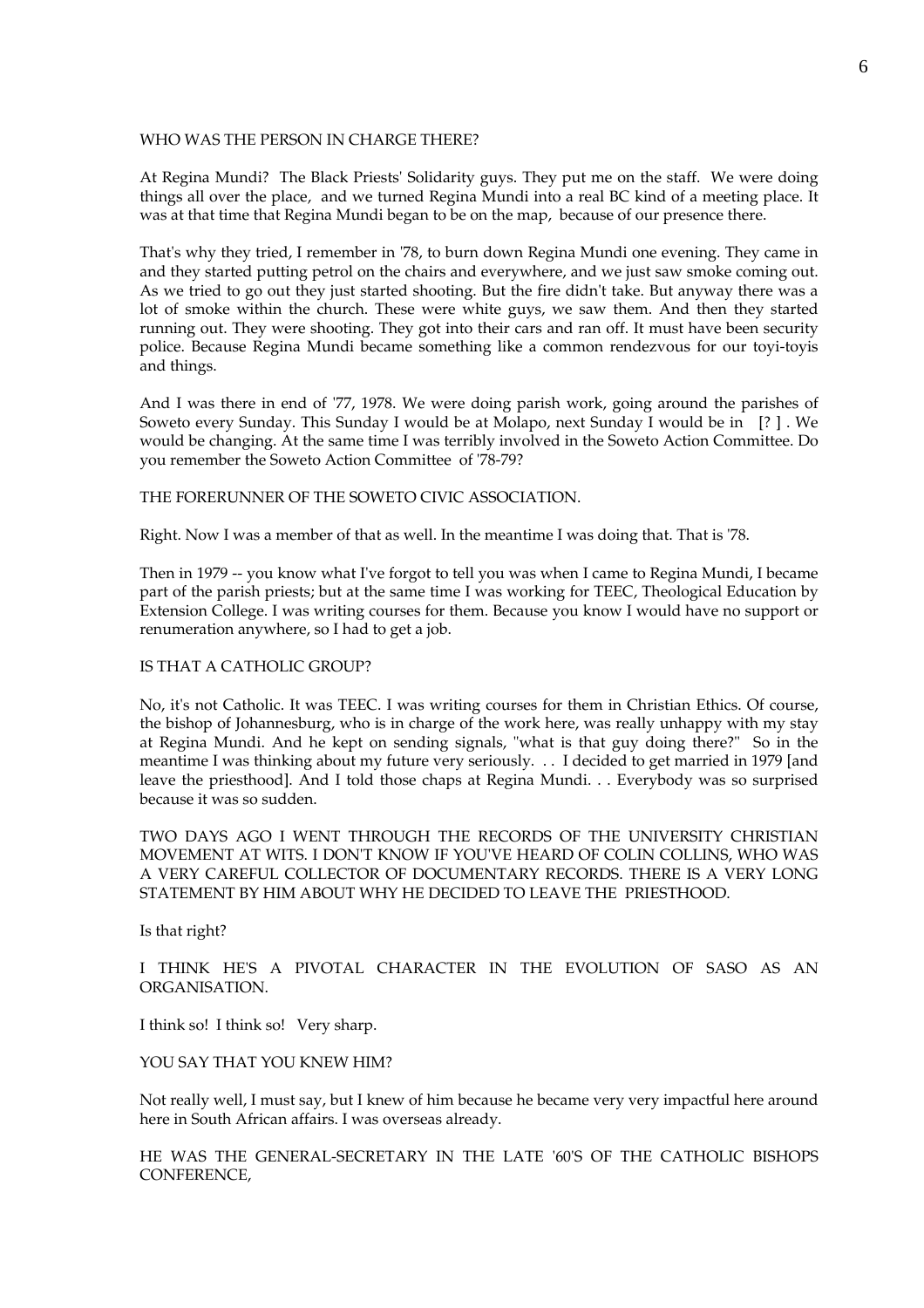### WHO WAS THE PERSON IN CHARGE THERE?

At Regina Mundi? The Black Priests' Solidarity guys. They put me on the staff. We were doing things all over the place, and we turned Regina Mundi into a real BC kind of a meeting place. It was at that time that Regina Mundi began to be on the map, because of our presence there.

That's why they tried, I remember in '78, to burn down Regina Mundi one evening. They came in and they started putting petrol on the chairs and everywhere, and we just saw smoke coming out. As we tried to go out they just started shooting. But the fire didn't take. But anyway there was a lot of smoke within the church. These were white guys, we saw them. And then they started running out. They were shooting. They got into their cars and ran off. It must have been security police. Because Regina Mundi became something like a common rendezvous for our toyi-toyis and things.

And I was there in end of '77, 1978. We were doing parish work, going around the parishes of Soweto every Sunday. This Sunday I would be at Molapo, next Sunday I would be in [? ] . We would be changing. At the same time I was terribly involved in the Soweto Action Committee. Do you remember the Soweto Action Committee of '78-79?

THE FORERUNNER OF THE SOWETO CIVIC ASSOCIATION.

Right. Now I was a member of that as well. In the meantime I was doing that. That is '78.

Then in 1979 -- you know what I've forgot to tell you was when I came to Regina Mundi, I became part of the parish priests; but at the same time I was working for TEEC, Theological Education by Extension College. I was writing courses for them. Because you know I would have no support or renumeration anywhere, so I had to get a job.

#### IS THAT A CATHOLIC GROUP?

No, it's not Catholic. It was TEEC. I was writing courses for them in Christian Ethics. Of course, the bishop of Johannesburg, who is in charge of the work here, was really unhappy with my stay at Regina Mundi. And he kept on sending signals, "what is that guy doing there?" So in the meantime I was thinking about my future very seriously. . . I decided to get married in 1979 [and leave the priesthood]. And I told those chaps at Regina Mundi. . . Everybody was so surprised because it was so sudden.

TWO DAYS AGO I WENT THROUGH THE RECORDS OF THE UNIVERSITY CHRISTIAN MOVEMENT AT WITS. I DON'T KNOW IF YOU'VE HEARD OF COLIN COLLINS, WHO WAS A VERY CAREFUL COLLECTOR OF DOCUMENTARY RECORDS. THERE IS A VERY LONG STATEMENT BY HIM ABOUT WHY HE DECIDED TO LEAVE THE PRIESTHOOD.

Is that right?

I THINK HE'S A PIVOTAL CHARACTER IN THE EVOLUTION OF SASO AS AN ORGANISATION.

I think so! I think so! Very sharp.

YOU SAY THAT YOU KNEW HIM?

Not really well, I must say, but I knew of him because he became very very impactful here around here in South African affairs. I was overseas already.

HE WAS THE GENERAL-SECRETARY IN THE LATE '60'S OF THE CATHOLIC BISHOPS CONFERENCE,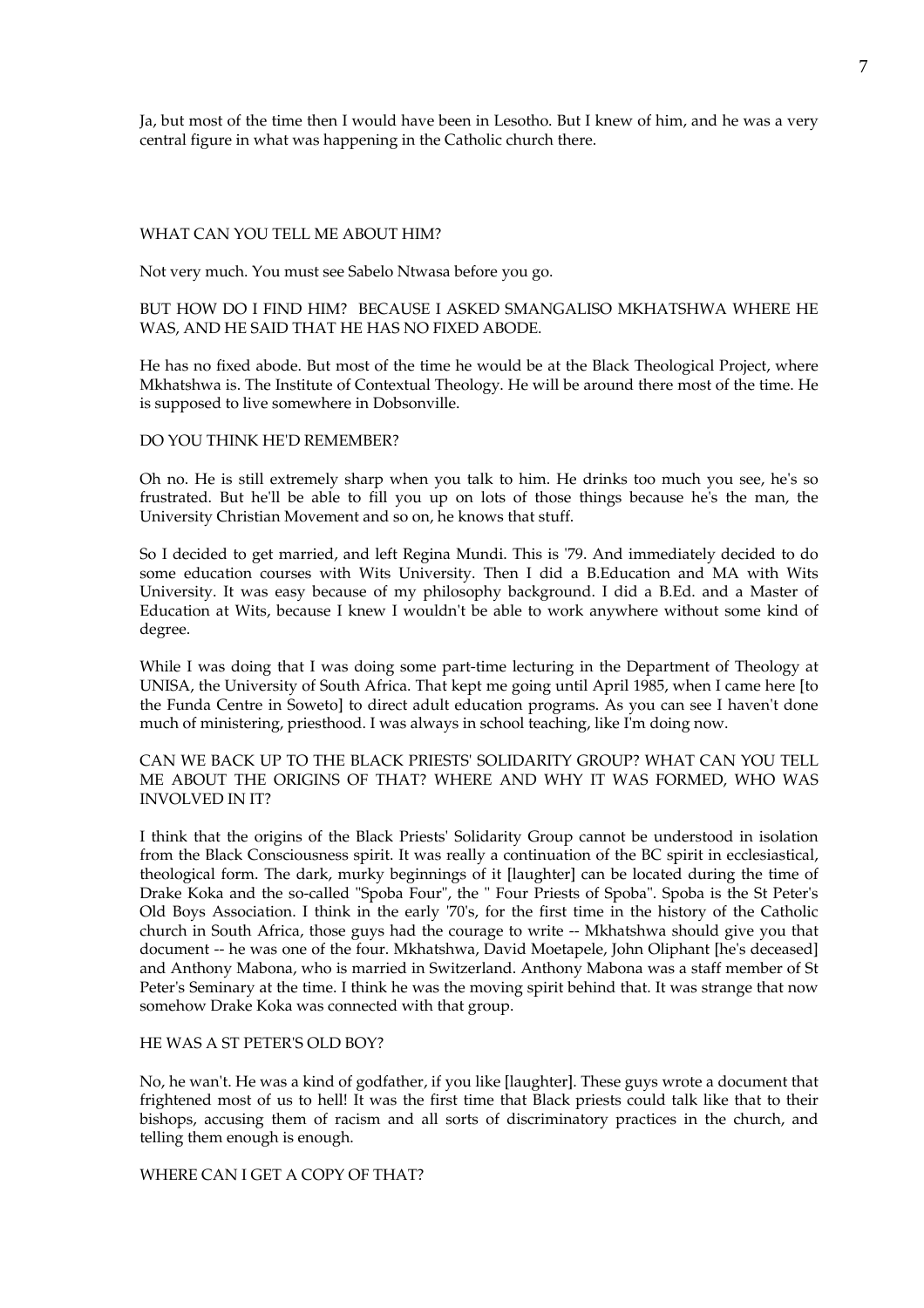Ja, but most of the time then I would have been in Lesotho. But I knew of him, and he was a very central figure in what was happening in the Catholic church there.

## WHAT CAN YOU TELL ME ABOUT HIM?

Not very much. You must see Sabelo Ntwasa before you go.

# BUT HOW DO I FIND HIM? BECAUSE I ASKED SMANGALISO MKHATSHWA WHERE HE WAS, AND HE SAID THAT HE HAS NO FIXED ABODE.

He has no fixed abode. But most of the time he would be at the Black Theological Project, where Mkhatshwa is. The Institute of Contextual Theology. He will be around there most of the time. He is supposed to live somewhere in Dobsonville.

### DO YOU THINK HE'D REMEMBER?

Oh no. He is still extremely sharp when you talk to him. He drinks too much you see, he's so frustrated. But he'll be able to fill you up on lots of those things because he's the man, the University Christian Movement and so on, he knows that stuff.

So I decided to get married, and left Regina Mundi. This is '79. And immediately decided to do some education courses with Wits University. Then I did a B.Education and MA with Wits University. It was easy because of my philosophy background. I did a B.Ed. and a Master of Education at Wits, because I knew I wouldn't be able to work anywhere without some kind of degree.

While I was doing that I was doing some part-time lecturing in the Department of Theology at UNISA, the University of South Africa. That kept me going until April 1985, when I came here [to the Funda Centre in Soweto] to direct adult education programs. As you can see I haven't done much of ministering, priesthood. I was always in school teaching, like I'm doing now.

CAN WE BACK UP TO THE BLACK PRIESTS' SOLIDARITY GROUP? WHAT CAN YOU TELL ME ABOUT THE ORIGINS OF THAT? WHERE AND WHY IT WAS FORMED, WHO WAS INVOLVED IN IT?

I think that the origins of the Black Priests' Solidarity Group cannot be understood in isolation from the Black Consciousness spirit. It was really a continuation of the BC spirit in ecclesiastical, theological form. The dark, murky beginnings of it [laughter] can be located during the time of Drake Koka and the so-called "Spoba Four", the " Four Priests of Spoba". Spoba is the St Peter's Old Boys Association. I think in the early '70's, for the first time in the history of the Catholic church in South Africa, those guys had the courage to write -- Mkhatshwa should give you that document -- he was one of the four. Mkhatshwa, David Moetapele, John Oliphant [he's deceased] and Anthony Mabona, who is married in Switzerland. Anthony Mabona was a staff member of St Peter's Seminary at the time. I think he was the moving spirit behind that. It was strange that now somehow Drake Koka was connected with that group.

## HE WAS A ST PETER'S OLD BOY?

No, he wan't. He was a kind of godfather, if you like [laughter]. These guys wrote a document that frightened most of us to hell! It was the first time that Black priests could talk like that to their bishops, accusing them of racism and all sorts of discriminatory practices in the church, and telling them enough is enough.

WHERE CAN I GET A COPY OF THAT?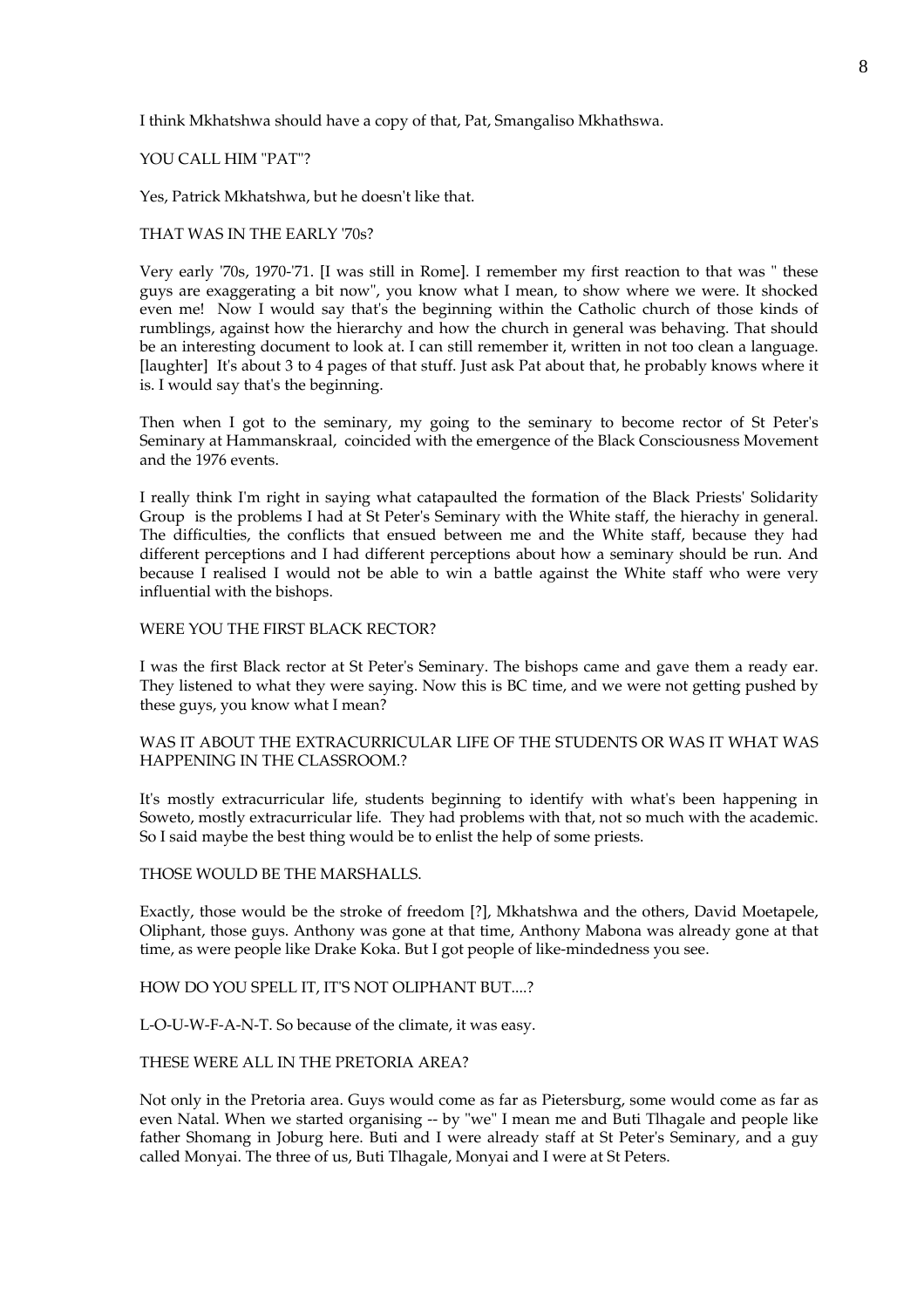I think Mkhatshwa should have a copy of that, Pat, Smangaliso Mkhathswa.

## YOU CALL HIM "PAT"?

Yes, Patrick Mkhatshwa, but he doesn't like that.

## THAT WAS IN THE EARLY '70s?

Very early '70s, 1970-'71. [I was still in Rome]. I remember my first reaction to that was " these guys are exaggerating a bit now", you know what I mean, to show where we were. It shocked even me! Now I would say that's the beginning within the Catholic church of those kinds of rumblings, against how the hierarchy and how the church in general was behaving. That should be an interesting document to look at. I can still remember it, written in not too clean a language. [laughter] It's about 3 to 4 pages of that stuff. Just ask Pat about that, he probably knows where it is. I would say that's the beginning.

Then when I got to the seminary, my going to the seminary to become rector of St Peter's Seminary at Hammanskraal, coincided with the emergence of the Black Consciousness Movement and the 1976 events.

I really think I'm right in saying what catapaulted the formation of the Black Priests' Solidarity Group is the problems I had at St Peter's Seminary with the White staff, the hierachy in general. The difficulties, the conflicts that ensued between me and the White staff, because they had different perceptions and I had different perceptions about how a seminary should be run. And because I realised I would not be able to win a battle against the White staff who were very influential with the bishops.

### WERE YOU THE FIRST BLACK RECTOR?

I was the first Black rector at St Peter's Seminary. The bishops came and gave them a ready ear. They listened to what they were saying. Now this is BC time, and we were not getting pushed by these guys, you know what I mean?

# WAS IT ABOUT THE EXTRACURRICULAR LIFE OF THE STUDENTS OR WAS IT WHAT WAS HAPPENING IN THE CLASSROOM.?

It's mostly extracurricular life, students beginning to identify with what's been happening in Soweto, mostly extracurricular life. They had problems with that, not so much with the academic. So I said maybe the best thing would be to enlist the help of some priests.

# THOSE WOULD BE THE MARSHALLS.

Exactly, those would be the stroke of freedom [?], Mkhatshwa and the others, David Moetapele, Oliphant, those guys. Anthony was gone at that time, Anthony Mabona was already gone at that time, as were people like Drake Koka. But I got people of like-mindedness you see.

## HOW DO YOU SPELL IT, IT'S NOT OLIPHANT BUT....?

L-O-U-W-F-A-N-T. So because of the climate, it was easy.

# THESE WERE ALL IN THE PRETORIA AREA?

Not only in the Pretoria area. Guys would come as far as Pietersburg, some would come as far as even Natal. When we started organising -- by "we" I mean me and Buti Tlhagale and people like father Shomang in Joburg here. Buti and I were already staff at St Peter's Seminary, and a guy called Monyai. The three of us, Buti Tlhagale, Monyai and I were at St Peters.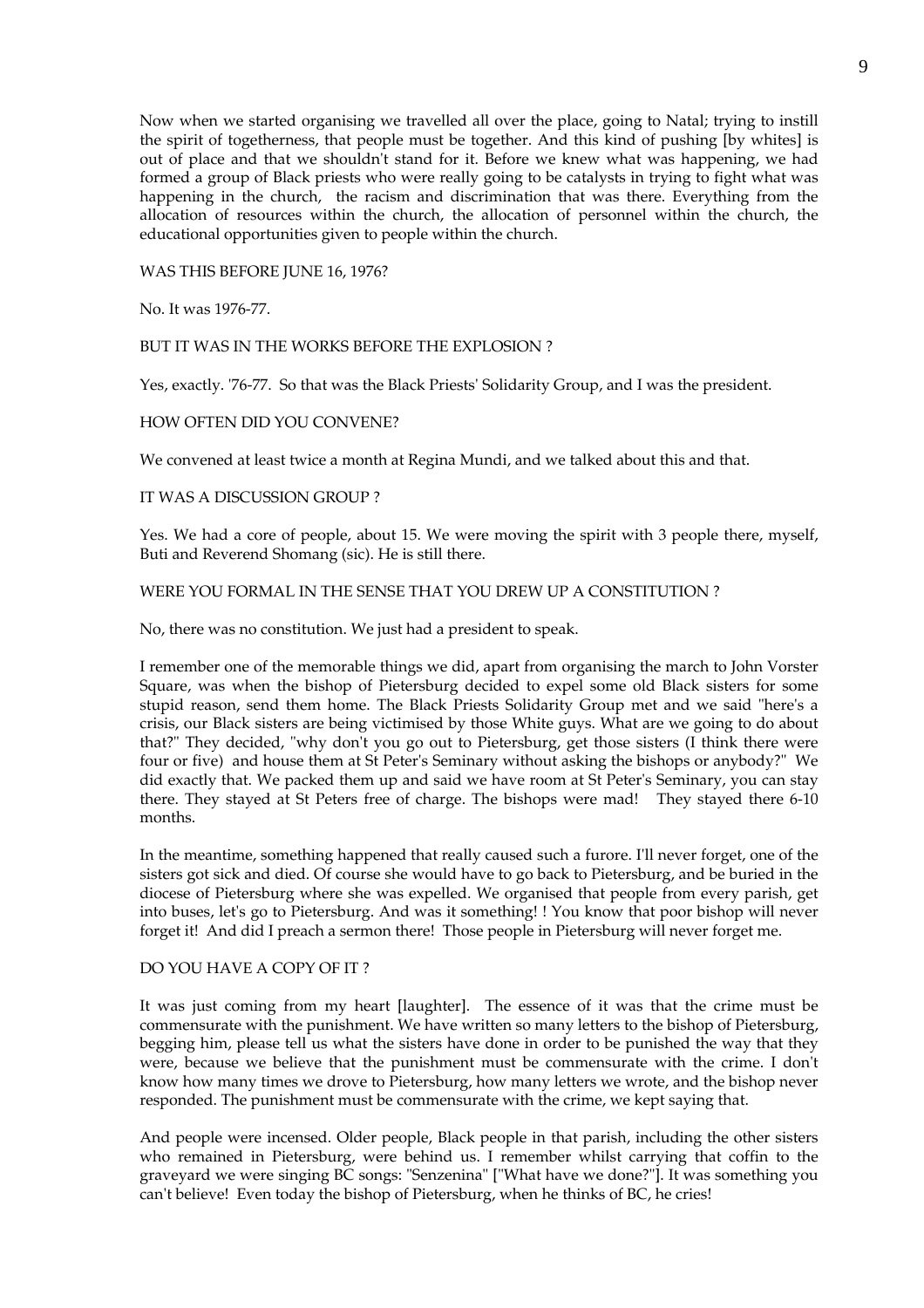Now when we started organising we travelled all over the place, going to Natal; trying to instill the spirit of togetherness, that people must be together. And this kind of pushing [by whites] is out of place and that we shouldn't stand for it. Before we knew what was happening, we had formed a group of Black priests who were really going to be catalysts in trying to fight what was happening in the church, the racism and discrimination that was there. Everything from the allocation of resources within the church, the allocation of personnel within the church, the educational opportunities given to people within the church.

WAS THIS BEFORE JUNE 16, 1976?

No. It was 1976-77.

### BUT IT WAS IN THE WORKS BEFORE THE EXPLOSION ?

Yes, exactly. '76-77. So that was the Black Priests' Solidarity Group, and I was the president.

### HOW OFTEN DID YOU CONVENE?

We convened at least twice a month at Regina Mundi, and we talked about this and that.

### IT WAS A DISCUSSION GROUP ?

Yes. We had a core of people, about 15. We were moving the spirit with 3 people there, myself, Buti and Reverend Shomang (sic). He is still there.

### WERE YOU FORMAL IN THE SENSE THAT YOU DREW UP A CONSTITUTION ?

No, there was no constitution. We just had a president to speak.

I remember one of the memorable things we did, apart from organising the march to John Vorster Square, was when the bishop of Pietersburg decided to expel some old Black sisters for some stupid reason, send them home. The Black Priests Solidarity Group met and we said "here's a crisis, our Black sisters are being victimised by those White guys. What are we going to do about that?" They decided, "why don't you go out to Pietersburg, get those sisters (I think there were four or five) and house them at St Peter's Seminary without asking the bishops or anybody?" We did exactly that. We packed them up and said we have room at St Peter's Seminary, you can stay there. They stayed at St Peters free of charge. The bishops were mad! They stayed there 6-10 months.

In the meantime, something happened that really caused such a furore. I'll never forget, one of the sisters got sick and died. Of course she would have to go back to Pietersburg, and be buried in the diocese of Pietersburg where she was expelled. We organised that people from every parish, get into buses, let's go to Pietersburg. And was it something! ! You know that poor bishop will never forget it! And did I preach a sermon there! Those people in Pietersburg will never forget me.

## DO YOU HAVE A COPY OF IT ?

It was just coming from my heart [laughter]. The essence of it was that the crime must be commensurate with the punishment. We have written so many letters to the bishop of Pietersburg, begging him, please tell us what the sisters have done in order to be punished the way that they were, because we believe that the punishment must be commensurate with the crime. I don't know how many times we drove to Pietersburg, how many letters we wrote, and the bishop never responded. The punishment must be commensurate with the crime, we kept saying that.

And people were incensed. Older people, Black people in that parish, including the other sisters who remained in Pietersburg, were behind us. I remember whilst carrying that coffin to the graveyard we were singing BC songs: "Senzenina" ["What have we done?"]. It was something you can't believe! Even today the bishop of Pietersburg, when he thinks of BC, he cries!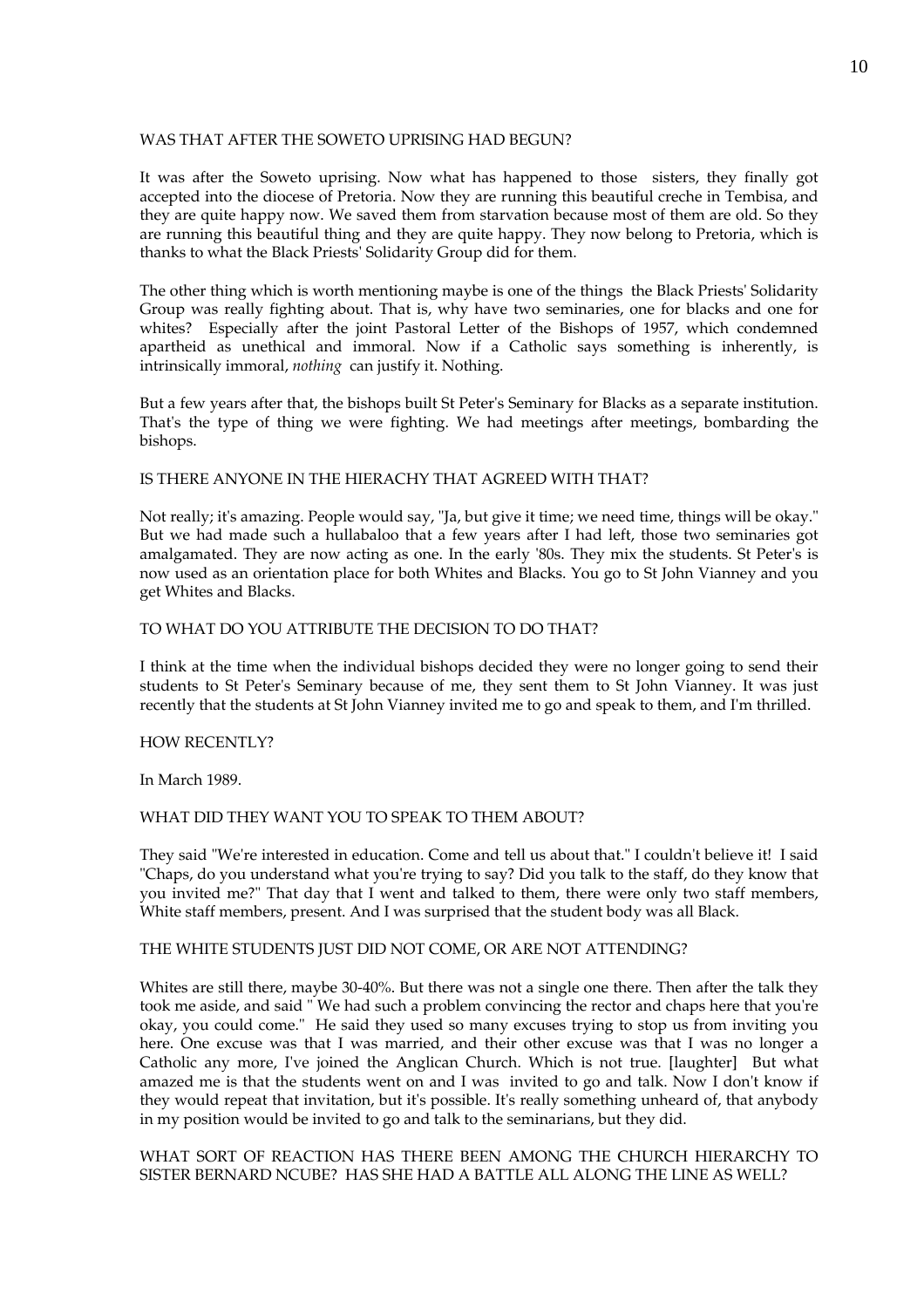## WAS THAT AFTER THE SOWETO UPRISING HAD BEGUN?

It was after the Soweto uprising. Now what has happened to those sisters, they finally got accepted into the diocese of Pretoria. Now they are running this beautiful creche in Tembisa, and they are quite happy now. We saved them from starvation because most of them are old. So they are running this beautiful thing and they are quite happy. They now belong to Pretoria, which is thanks to what the Black Priests' Solidarity Group did for them.

The other thing which is worth mentioning maybe is one of the things the Black Priests' Solidarity Group was really fighting about. That is, why have two seminaries, one for blacks and one for whites? Especially after the joint Pastoral Letter of the Bishops of 1957, which condemned apartheid as unethical and immoral. Now if a Catholic says something is inherently, is intrinsically immoral, *nothing* can justify it. Nothing.

But a few years after that, the bishops built St Peter's Seminary for Blacks as a separate institution. That's the type of thing we were fighting. We had meetings after meetings, bombarding the bishops.

## IS THERE ANYONE IN THE HIERACHY THAT AGREED WITH THAT?

Not really; it's amazing. People would say, "Ja, but give it time; we need time, things will be okay." But we had made such a hullabaloo that a few years after I had left, those two seminaries got amalgamated. They are now acting as one. In the early '80s. They mix the students. St Peter's is now used as an orientation place for both Whites and Blacks. You go to St John Vianney and you get Whites and Blacks.

# TO WHAT DO YOU ATTRIBUTE THE DECISION TO DO THAT?

I think at the time when the individual bishops decided they were no longer going to send their students to St Peter's Seminary because of me, they sent them to St John Vianney. It was just recently that the students at St John Vianney invited me to go and speak to them, and I'm thrilled.

### HOW RECENTLY?

In March 1989.

## WHAT DID THEY WANT YOU TO SPEAK TO THEM ABOUT?

They said "We're interested in education. Come and tell us about that." I couldn't believe it! I said "Chaps, do you understand what you're trying to say? Did you talk to the staff, do they know that you invited me?" That day that I went and talked to them, there were only two staff members, White staff members, present. And I was surprised that the student body was all Black.

#### THE WHITE STUDENTS JUST DID NOT COME, OR ARE NOT ATTENDING?

Whites are still there, maybe 30-40%. But there was not a single one there. Then after the talk they took me aside, and said " We had such a problem convincing the rector and chaps here that you're okay, you could come." He said they used so many excuses trying to stop us from inviting you here. One excuse was that I was married, and their other excuse was that I was no longer a Catholic any more, I've joined the Anglican Church. Which is not true. [laughter] But what amazed me is that the students went on and I was invited to go and talk. Now I don't know if they would repeat that invitation, but it's possible. It's really something unheard of, that anybody in my position would be invited to go and talk to the seminarians, but they did.

# WHAT SORT OF REACTION HAS THERE BEEN AMONG THE CHURCH HIERARCHY TO SISTER BERNARD NCUBE? HAS SHE HAD A BATTLE ALL ALONG THE LINE AS WELL?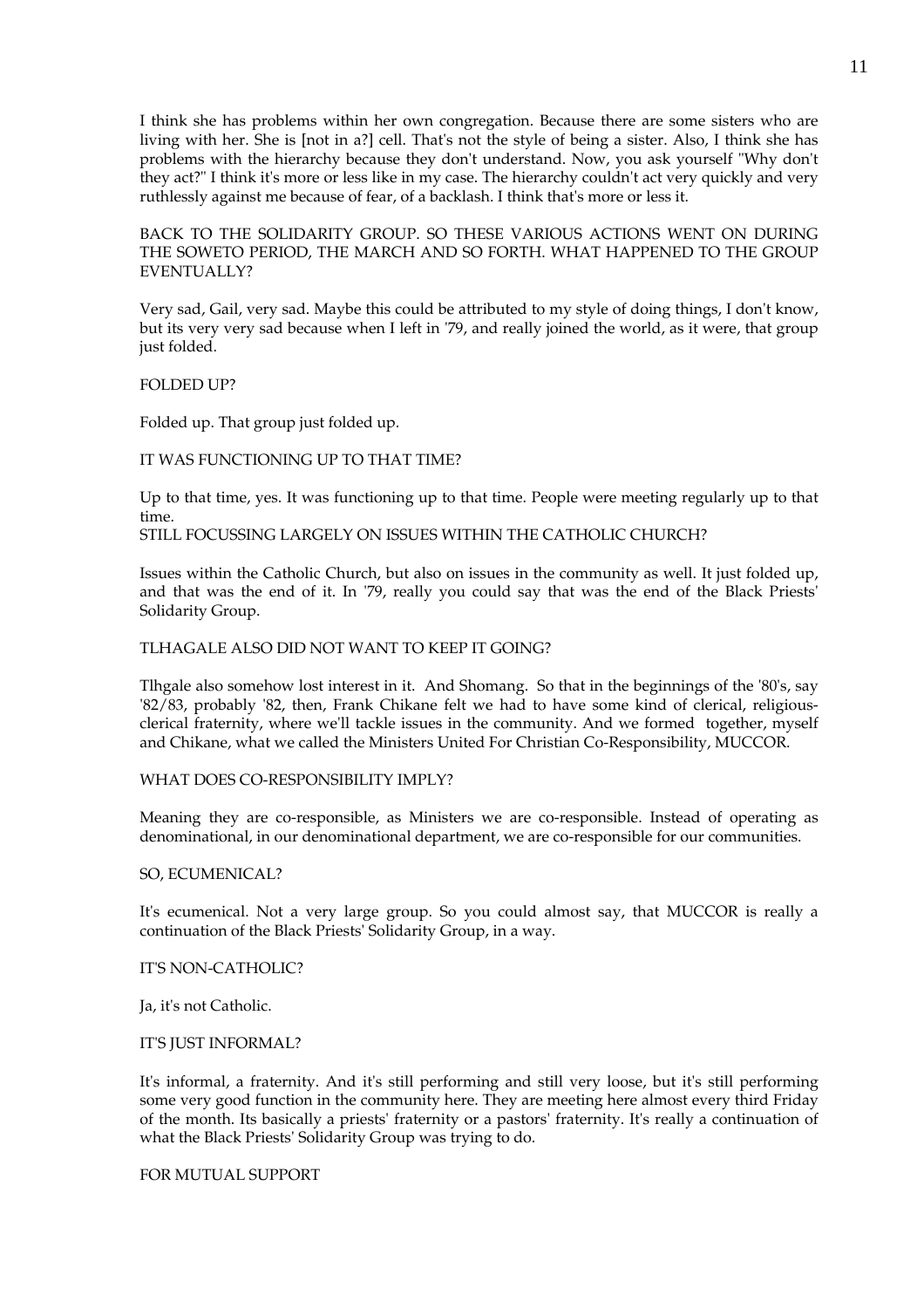I think she has problems within her own congregation. Because there are some sisters who are living with her. She is [not in a?] cell. That's not the style of being a sister. Also, I think she has problems with the hierarchy because they don't understand. Now, you ask yourself "Why don't they act?" I think it's more or less like in my case. The hierarchy couldn't act very quickly and very ruthlessly against me because of fear, of a backlash. I think that's more or less it.

BACK TO THE SOLIDARITY GROUP. SO THESE VARIOUS ACTIONS WENT ON DURING THE SOWETO PERIOD, THE MARCH AND SO FORTH. WHAT HAPPENED TO THE GROUP EVENTUALLY?

Very sad, Gail, very sad. Maybe this could be attributed to my style of doing things, I don't know, but its very very sad because when I left in '79, and really joined the world, as it were, that group just folded.

### FOLDED UP?

Folded up. That group just folded up.

### IT WAS FUNCTIONING UP TO THAT TIME?

Up to that time, yes. It was functioning up to that time. People were meeting regularly up to that time.

STILL FOCUSSING LARGELY ON ISSUES WITHIN THE CATHOLIC CHURCH?

Issues within the Catholic Church, but also on issues in the community as well. It just folded up, and that was the end of it. In '79, really you could say that was the end of the Black Priests' Solidarity Group.

### TLHAGALE ALSO DID NOT WANT TO KEEP IT GOING?

Tlhgale also somehow lost interest in it. And Shomang. So that in the beginnings of the '80's, say '82/83, probably '82, then, Frank Chikane felt we had to have some kind of clerical, religiousclerical fraternity, where we'll tackle issues in the community. And we formed together, myself and Chikane, what we called the Ministers United For Christian Co-Responsibility, MUCCOR.

#### WHAT DOES CO-RESPONSIBILITY IMPLY?

Meaning they are co-responsible, as Ministers we are co-responsible. Instead of operating as denominational, in our denominational department, we are co-responsible for our communities.

### SO, ECUMENICAL?

It's ecumenical. Not a very large group. So you could almost say, that MUCCOR is really a continuation of the Black Priests' Solidarity Group, in a way.

#### IT'S NON-CATHOLIC?

Ja, it's not Catholic.

#### IT'S JUST INFORMAL?

It's informal, a fraternity. And it's still performing and still very loose, but it's still performing some very good function in the community here. They are meeting here almost every third Friday of the month. Its basically a priests' fraternity or a pastors' fraternity. It's really a continuation of what the Black Priests' Solidarity Group was trying to do.

FOR MUTUAL SUPPORT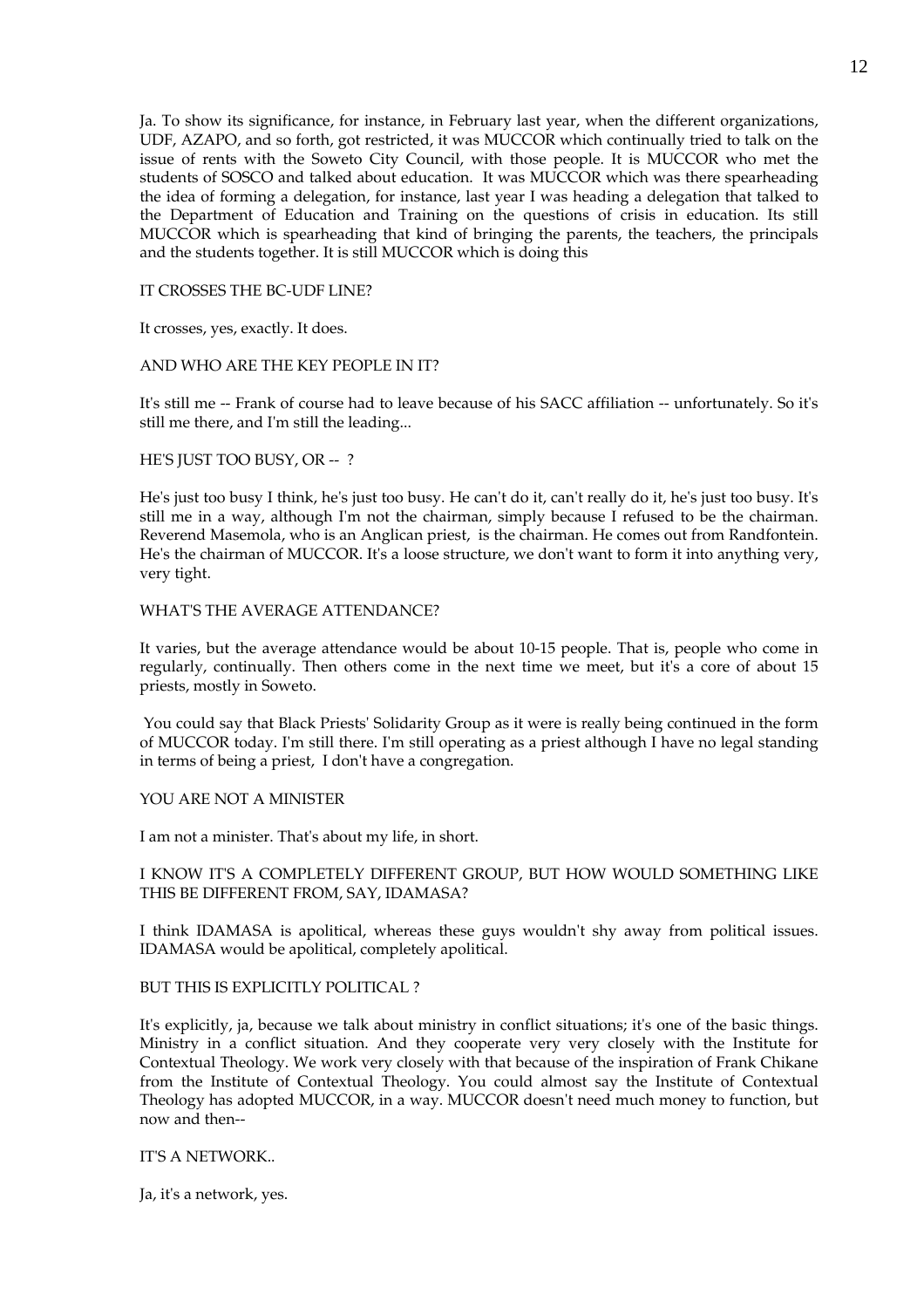Ja. To show its significance, for instance, in February last year, when the different organizations, UDF, AZAPO, and so forth, got restricted, it was MUCCOR which continually tried to talk on the issue of rents with the Soweto City Council, with those people. It is MUCCOR who met the students of SOSCO and talked about education. It was MUCCOR which was there spearheading the idea of forming a delegation, for instance, last year I was heading a delegation that talked to the Department of Education and Training on the questions of crisis in education. Its still MUCCOR which is spearheading that kind of bringing the parents, the teachers, the principals and the students together. It is still MUCCOR which is doing this

### IT CROSSES THE BC-UDF LINE?

It crosses, yes, exactly. It does.

### AND WHO ARE THE KEY PEOPLE IN IT?

It's still me -- Frank of course had to leave because of his SACC affiliation -- unfortunately. So it's still me there, and I'm still the leading...

### HE'S JUST TOO BUSY, OR --?

He's just too busy I think, he's just too busy. He can't do it, can't really do it, he's just too busy. It's still me in a way, although I'm not the chairman, simply because I refused to be the chairman. Reverend Masemola, who is an Anglican priest, is the chairman. He comes out from Randfontein. He's the chairman of MUCCOR. It's a loose structure, we don't want to form it into anything very, very tight.

### WHAT'S THE AVERAGE ATTENDANCE?

It varies, but the average attendance would be about 10-15 people. That is, people who come in regularly, continually. Then others come in the next time we meet, but it's a core of about 15 priests, mostly in Soweto.

 You could say that Black Priests' Solidarity Group as it were is really being continued in the form of MUCCOR today. I'm still there. I'm still operating as a priest although I have no legal standing in terms of being a priest, I don't have a congregation.

### YOU ARE NOT A MINISTER

I am not a minister. That's about my life, in short.

# I KNOW IT'S A COMPLETELY DIFFERENT GROUP, BUT HOW WOULD SOMETHING LIKE THIS BE DIFFERENT FROM, SAY, IDAMASA?

I think IDAMASA is apolitical, whereas these guys wouldn't shy away from political issues. IDAMASA would be apolitical, completely apolitical.

### BUT THIS IS EXPLICITLY POLITICAL ?

It's explicitly, ja, because we talk about ministry in conflict situations; it's one of the basic things. Ministry in a conflict situation. And they cooperate very very closely with the Institute for Contextual Theology. We work very closely with that because of the inspiration of Frank Chikane from the Institute of Contextual Theology. You could almost say the Institute of Contextual Theology has adopted MUCCOR, in a way. MUCCOR doesn't need much money to function, but now and then--

## IT'S A NETWORK..

Ja, it's a network, yes.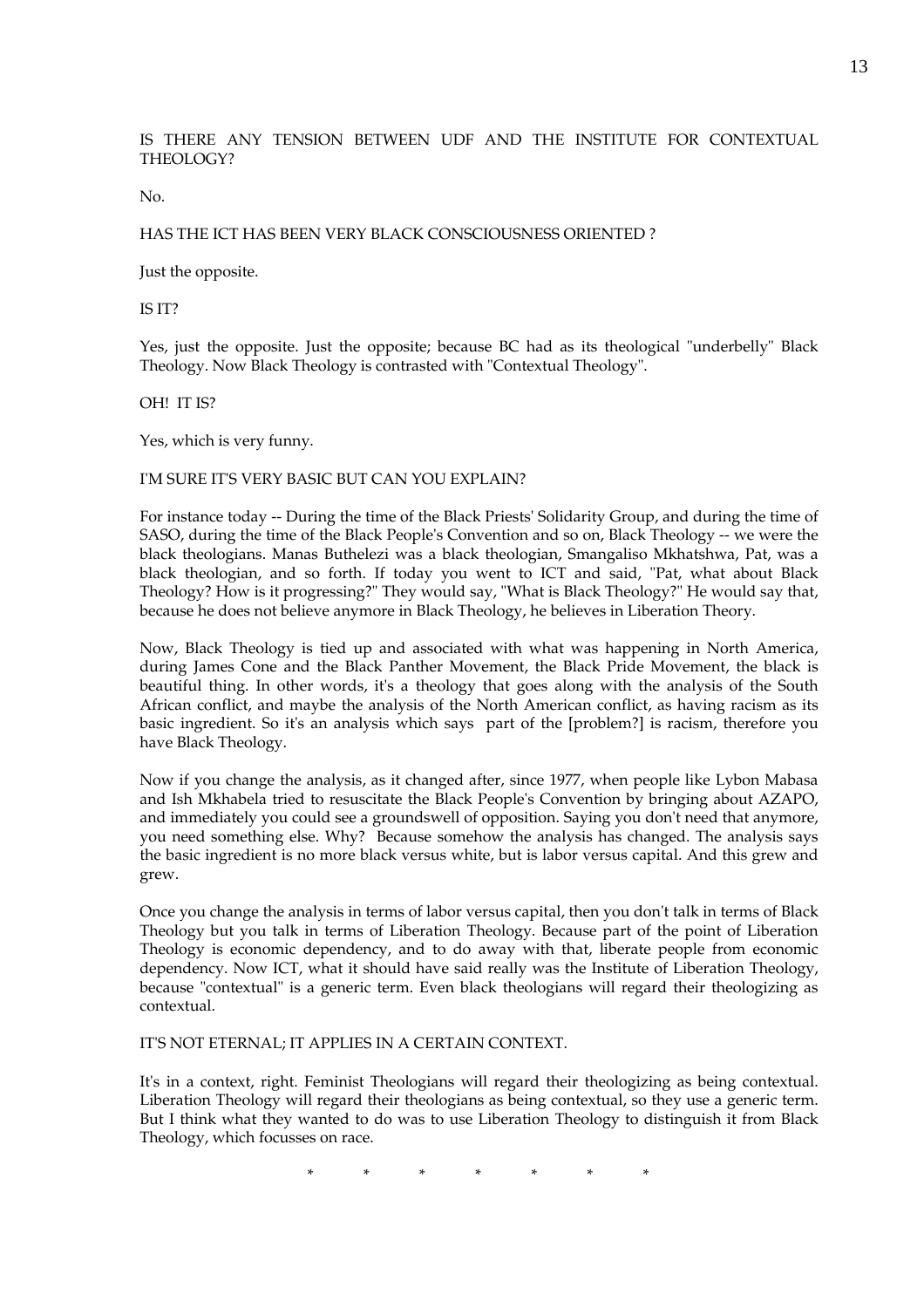IS THERE ANY TENSION BETWEEN UDF AND THE INSTITUTE FOR CONTEXTUAL THEOLOGY?

No.

## HAS THE ICT HAS BEEN VERY BLACK CONSCIOUSNESS ORIENTED ?

Just the opposite.

IS IT?

Yes, just the opposite. Just the opposite; because BC had as its theological "underbelly" Black Theology. Now Black Theology is contrasted with "Contextual Theology".

OH! IT IS?

Yes, which is very funny.

#### I'M SURE IT'S VERY BASIC BUT CAN YOU EXPLAIN?

For instance today -- During the time of the Black Priests' Solidarity Group, and during the time of SASO, during the time of the Black People's Convention and so on, Black Theology -- we were the black theologians. Manas Buthelezi was a black theologian, Smangaliso Mkhatshwa, Pat, was a black theologian, and so forth. If today you went to ICT and said, "Pat, what about Black Theology? How is it progressing?" They would say, "What is Black Theology?" He would say that, because he does not believe anymore in Black Theology, he believes in Liberation Theory.

Now, Black Theology is tied up and associated with what was happening in North America, during James Cone and the Black Panther Movement, the Black Pride Movement, the black is beautiful thing. In other words, it's a theology that goes along with the analysis of the South African conflict, and maybe the analysis of the North American conflict, as having racism as its basic ingredient. So it's an analysis which says part of the [problem?] is racism, therefore you have Black Theology.

Now if you change the analysis, as it changed after, since 1977, when people like Lybon Mabasa and Ish Mkhabela tried to resuscitate the Black People's Convention by bringing about AZAPO, and immediately you could see a groundswell of opposition. Saying you don't need that anymore, you need something else. Why? Because somehow the analysis has changed. The analysis says the basic ingredient is no more black versus white, but is labor versus capital. And this grew and grew.

Once you change the analysis in terms of labor versus capital, then you don't talk in terms of Black Theology but you talk in terms of Liberation Theology. Because part of the point of Liberation Theology is economic dependency, and to do away with that, liberate people from economic dependency. Now ICT, what it should have said really was the Institute of Liberation Theology, because "contextual" is a generic term. Even black theologians will regard their theologizing as contextual.

## IT'S NOT ETERNAL; IT APPLIES IN A CERTAIN CONTEXT.

It's in a context, right. Feminist Theologians will regard their theologizing as being contextual. Liberation Theology will regard their theologians as being contextual, so they use a generic term. But I think what they wanted to do was to use Liberation Theology to distinguish it from Black Theology, which focusses on race.

\* \* \* \* \* \* \*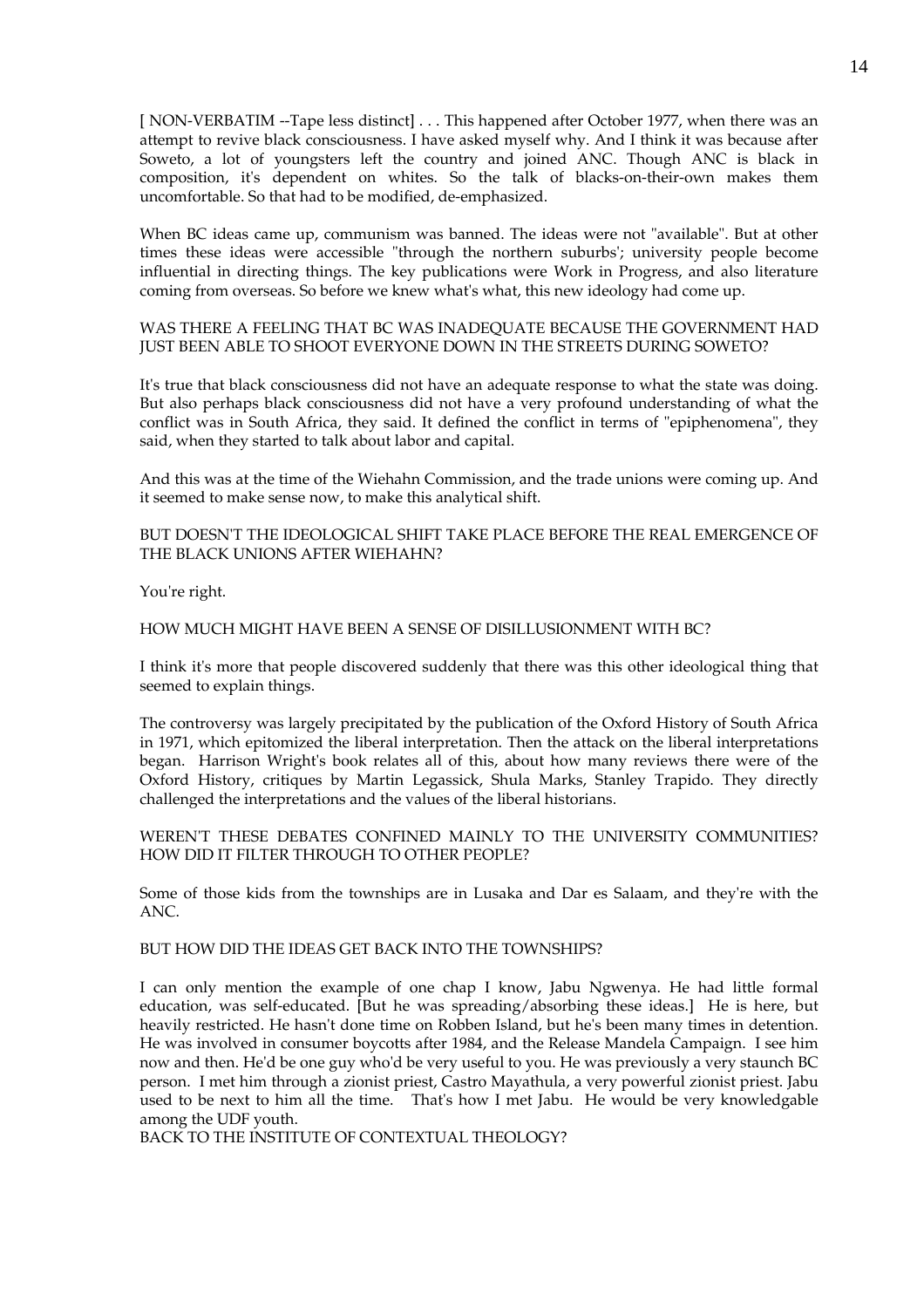[ NON-VERBATIM --Tape less distinct] . . . This happened after October 1977, when there was an attempt to revive black consciousness. I have asked myself why. And I think it was because after Soweto, a lot of youngsters left the country and joined ANC. Though ANC is black in composition, it's dependent on whites. So the talk of blacks-on-their-own makes them uncomfortable. So that had to be modified, de-emphasized.

When BC ideas came up, communism was banned. The ideas were not "available". But at other times these ideas were accessible "through the northern suburbs'; university people become influential in directing things. The key publications were Work in Progress, and also literature coming from overseas. So before we knew what's what, this new ideology had come up.

## WAS THERE A FEELING THAT BC WAS INADEQUATE BECAUSE THE GOVERNMENT HAD JUST BEEN ABLE TO SHOOT EVERYONE DOWN IN THE STREETS DURING SOWETO?

It's true that black consciousness did not have an adequate response to what the state was doing. But also perhaps black consciousness did not have a very profound understanding of what the conflict was in South Africa, they said. It defined the conflict in terms of "epiphenomena", they said, when they started to talk about labor and capital.

And this was at the time of the Wiehahn Commission, and the trade unions were coming up. And it seemed to make sense now, to make this analytical shift.

# BUT DOESN'T THE IDEOLOGICAL SHIFT TAKE PLACE BEFORE THE REAL EMERGENCE OF THE BLACK UNIONS AFTER WIEHAHN?

You're right.

### HOW MUCH MIGHT HAVE BEEN A SENSE OF DISILLUSIONMENT WITH BC?

I think it's more that people discovered suddenly that there was this other ideological thing that seemed to explain things.

The controversy was largely precipitated by the publication of the Oxford History of South Africa in 1971, which epitomized the liberal interpretation. Then the attack on the liberal interpretations began. Harrison Wright's book relates all of this, about how many reviews there were of the Oxford History, critiques by Martin Legassick, Shula Marks, Stanley Trapido. They directly challenged the interpretations and the values of the liberal historians.

WEREN'T THESE DEBATES CONFINED MAINLY TO THE UNIVERSITY COMMUNITIES? HOW DID IT FILTER THROUGH TO OTHER PEOPLE?

Some of those kids from the townships are in Lusaka and Dar es Salaam, and they're with the ANC.

## BUT HOW DID THE IDEAS GET BACK INTO THE TOWNSHIPS?

I can only mention the example of one chap I know, Jabu Ngwenya. He had little formal education, was self-educated. [But he was spreading/absorbing these ideas.] He is here, but heavily restricted. He hasn't done time on Robben Island, but he's been many times in detention. He was involved in consumer boycotts after 1984, and the Release Mandela Campaign. I see him now and then. He'd be one guy who'd be very useful to you. He was previously a very staunch BC person. I met him through a zionist priest, Castro Mayathula, a very powerful zionist priest. Jabu used to be next to him all the time. That's how I met Jabu. He would be very knowledgable among the UDF youth.

BACK TO THE INSTITUTE OF CONTEXTUAL THEOLOGY?